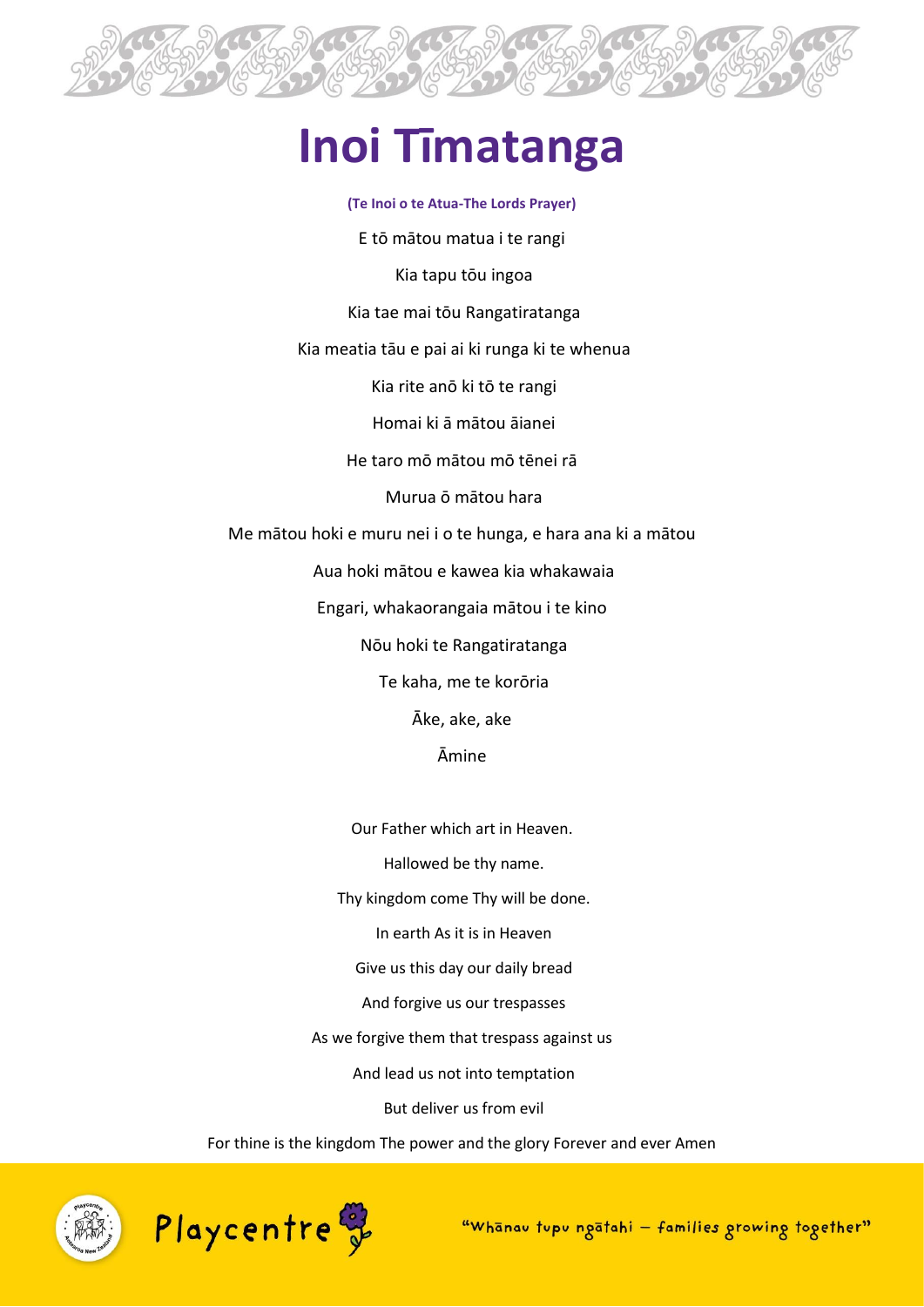

# **Inoi Tīmatanga**

**(Te Inoi o te Atua-The Lords Prayer)** E tō mātou matua i te rangi Kia tapu tōu ingoa Kia tae mai tōu Rangatiratanga Kia meatia tāu e pai ai ki runga ki te whenua Kia rite anō ki tō te rangi Homai ki ā mātou āianei He taro mō mātou mō tēnei rā Murua ō mātou hara Me mātou hoki e muru nei i o te hunga, e hara ana ki a mātou Aua hoki mātou e kawea kia whakawaia Engari, whakaorangaia mātou i te kino Nōu hoki te Rangatiratanga Te kaha, me te korōria Āke, ake, ake Āmine

> Our Father which art in Heaven. Hallowed be thy name. Thy kingdom come Thy will be done. In earth As it is in Heaven Give us this day our daily bread And forgive us our trespasses As we forgive them that trespass against us And lead us not into temptation But deliver us from evil

For thine is the kingdom The power and the glory Forever and ever Amen





"Whanav tupu ngatahi - families growing together"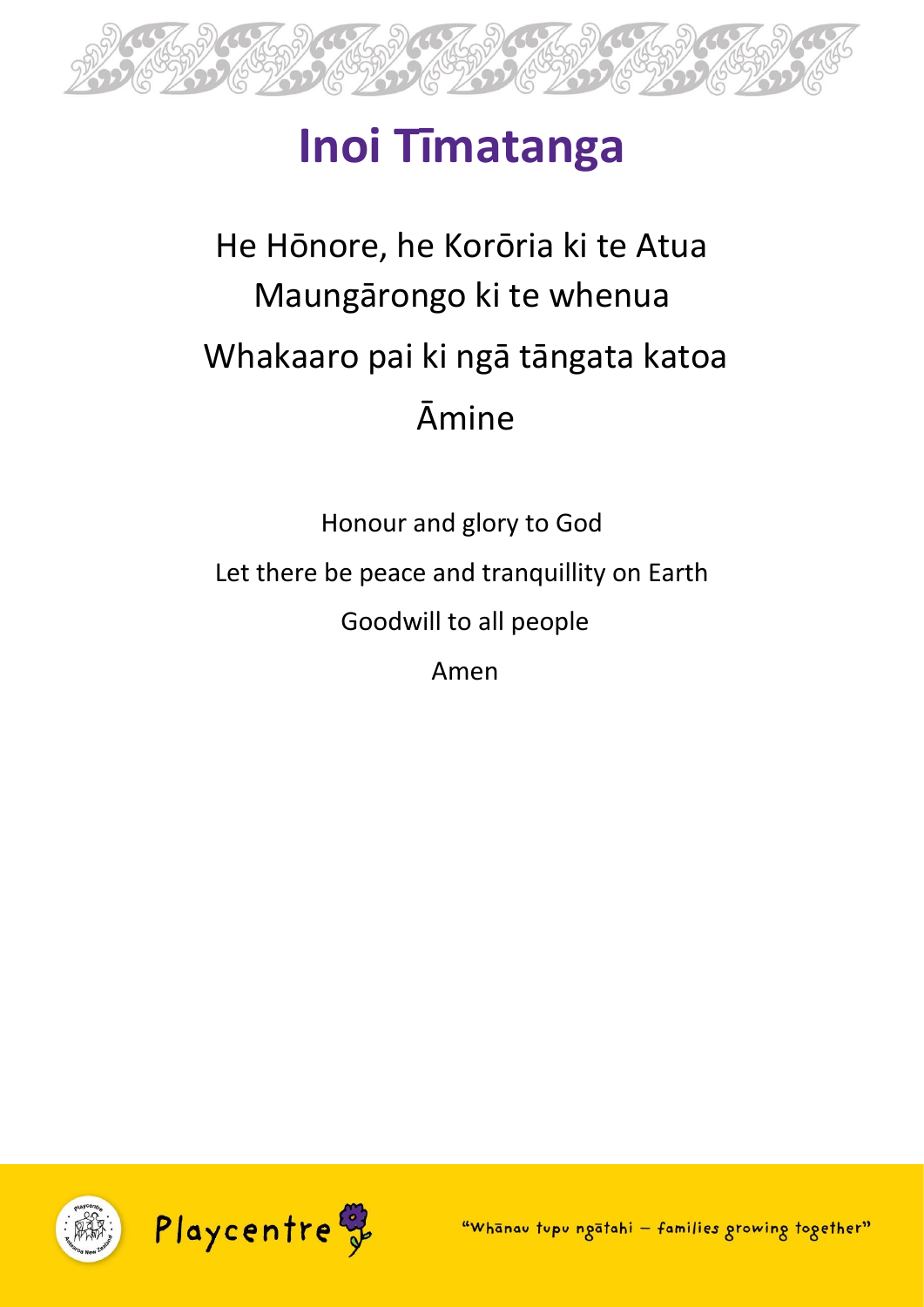

# **Inoi Tīmatanga**

#### He Hōnore, he Korōria ki te Atua Maungārongo ki te whenua Whakaaro pai ki ngā tāngata katoa Āmine

Honour and glory to God Let there be peace and tranquillity on Earth Goodwill to all people Amen

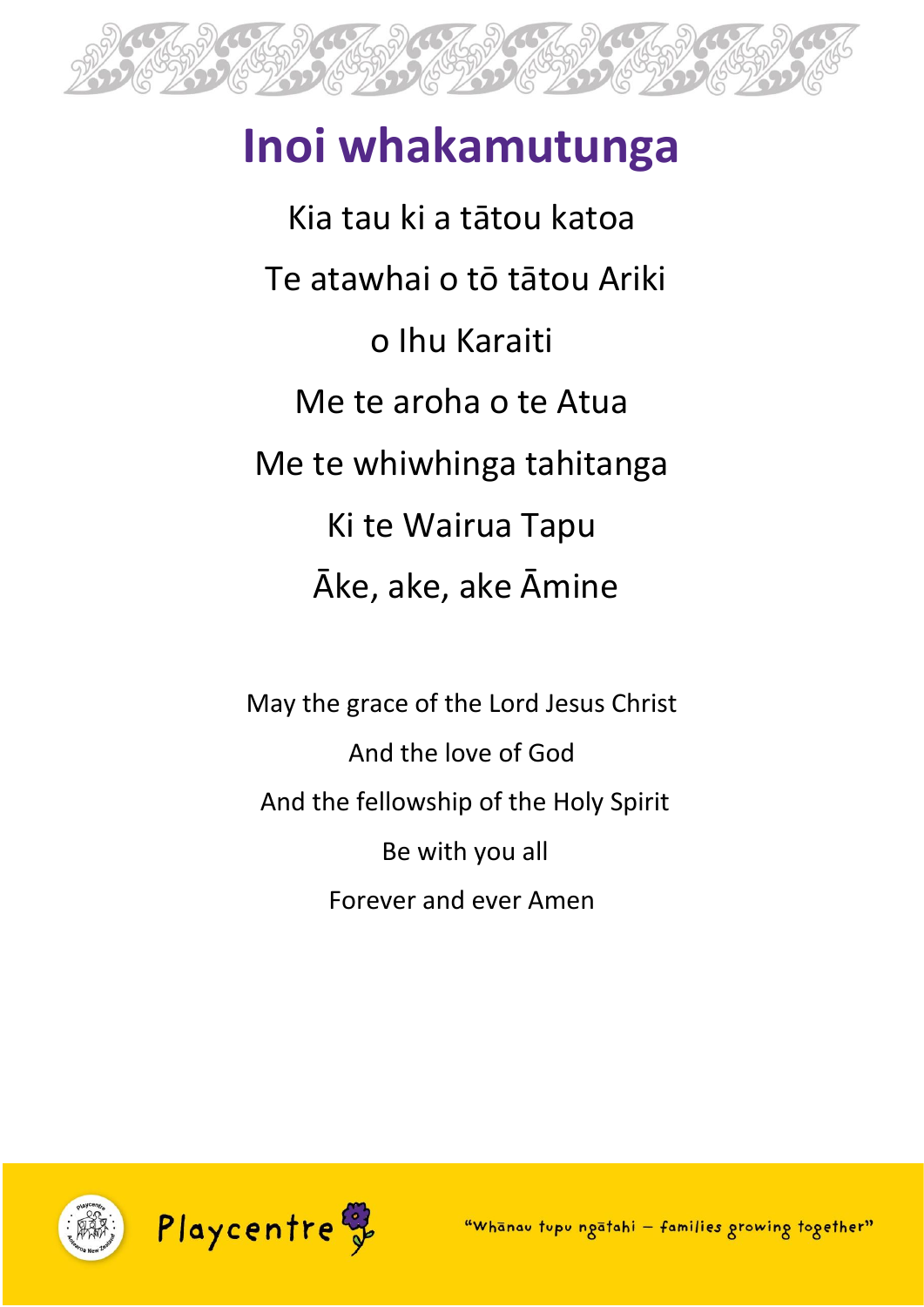

# **Inoi whakamutunga**

Kia tau ki a tātou katoa Te atawhai o tō tātou Ariki o Ihu Karaiti Me te aroha o te Atua Me te whiwhinga tahitanga Ki te Wairua Tapu Āke, ake, ake Āmine

May the grace of the Lord Jesus Christ And the love of God And the fellowship of the Holy Spirit Be with you all Forever and ever Amen



"Whanav tupu ngatahi - families growing together"